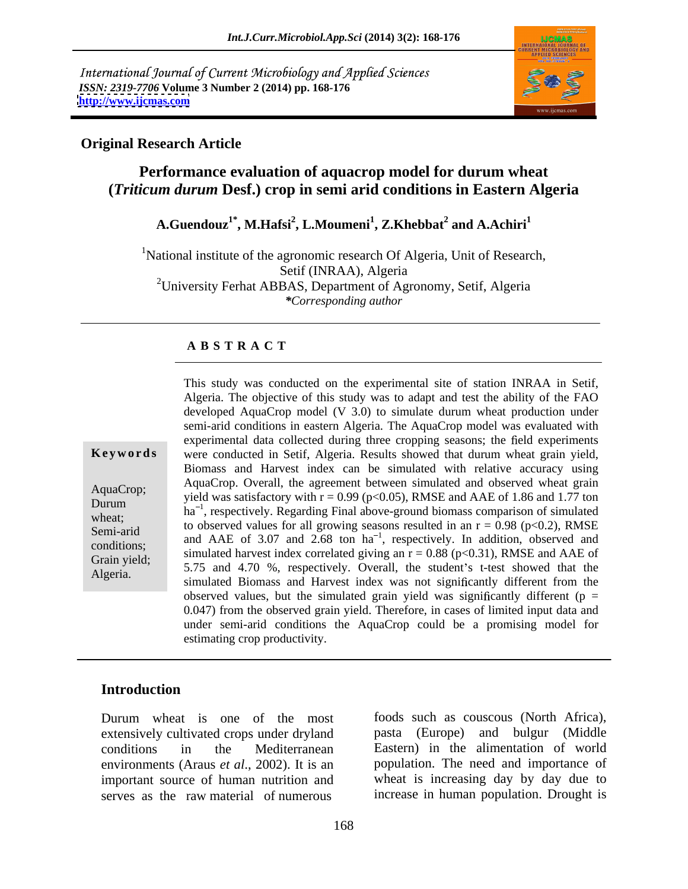International Journal of Current Microbiology and Applied Sciences *ISSN: 2319-7706* **Volume 3 Number 2 (2014) pp. 168-176 <http://www.ijcmas.com>**



### **Original Research Article**

## **Performance evaluation of aquacrop model for durum wheat (***Triticum durum* **Desf.) crop in semi arid conditions in Eastern Algeria**

 $\mathbf{A}.\mathbf{G}$ uendouz $^{1^*}, \mathbf{M}.\mathbf{H}$ afsi $^2, \mathbf{L}.\mathbf{M}$ oumeni $^1, \mathbf{Z}.\mathbf{K}$ hebbat $^2$  and  $\mathbf{A}.\mathbf{A}$ chiri $^1$  **and A.Achiri<sup>1</sup>**

<sup>1</sup>National institute of the agronomic research Of Algeria, Unit of Research, Setif (INRAA), Algeria <sup>2</sup>University Ferhat ABBAS, Department of Agronomy, Setif, Algeria *\*Corresponding author* 

## **A B S T R A C T**

**Ke ywo rds** were conducted in Setif, Algeria. Results showed that durum wheat grain yield, AquaCrop; AquaCrop. Overall, the agreement between simulated and observed wheat grain<br>During yield was satisfactory with  $r = 0.99$  (p<0.05), RMSE and AAE of 1.86 and 1.77 ton Durum  $h a^{-1}$ , respectively. Regarding Final above-ground biomass comparison of simulated  $h a^{-1}$ , respectively. Regarding Final above-ground biomass comparison of simulated wheat;<br>
to observed values for all growing seasons resulted in an  $r = 0.98$  (p<0.2), RMSE Semi-arid  $\mu$  to observed values for all growing seasons resulted in all  $1 = 0.98$  (ps0.2), KWSE and  $\mu$  and AAE of 3.07 and 2.68 ton ha<sup>-1</sup>, respectively. In addition, observed and conditions;<br>
simulated harvest index correlated giving an  $r = 0.88$  (p<0.31), RMSE and AAE of Grain yield;<br>  $5.75$  and  $4.70$  %, respectively. Overall, the student's t-test showed that the Algeria. Show and Harvest index was not significantly different from the simulated Biomass and Harvest index was not significantly different from the This study was conducted on the experimental site of station INRAA in Setif, Algeria. The objective of this study was to adapt and test the ability of the FAO developed AquaCrop model (V 3.0) to simulate durum wheat production under semi-arid conditions in eastern Algeria. The AquaCrop model was evaluated with experimental data collected during three cropping seasons; the field experiments Biomass and Harvest index can be simulated with relative accuracy using AquaCrop. Overall, the agreement between simulated and observed wheat grain observed values, but the simulated grain yield was significantly different ( $p =$ 0.047) from the observed grain yield. Therefore, in cases of limited input data and under semi-arid conditions the AquaCrop could be a promising model for estimating crop productivity.

## **Introduction**

Durum wheat is one of the most foods such as couscous (North Africa), extensively cultivated crops under dryland conditions in the Mediterranean Eastern) in the alimentation of world environments (Araus *et al*., 2002). It is an important source of human nutrition and serves as the raw material of numerous increase in human population. Drought is

foods such as couscous (North Africa), pasta (Europe) and bulgur (Middle population. The need and importance of wheat is increasing day by day due to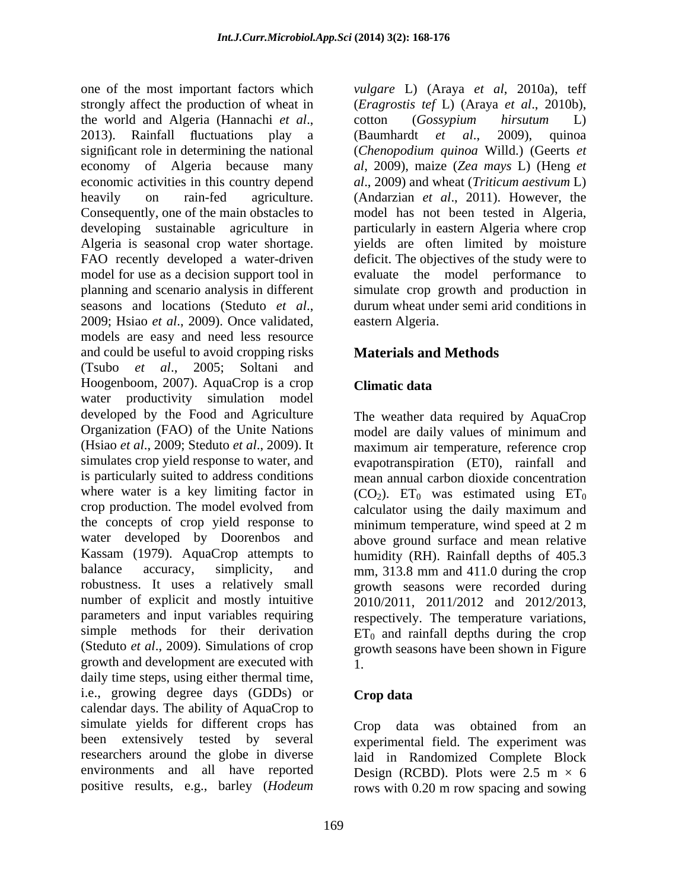one of the most important factors which *vulgare* L) (Araya *et al*, 2010a), teff strongly affect the production of wheat in (*Eragrostis tef* L) (Araya *et al*., 2010b), the world and Algeria (Hannachi *et al.*, cotton (*Gossypium hirsutum* L)<br>2013). Rainfall fluctuations play a (Baumhardt *et al.*, 2009), quinoa significant role in determining the national (*Chenopodium quinoa* Willd.) (Geerts *et* economy of Algeria because many economic activities in this country depend *al*., 2009) and wheat (*Triticum aestivum* L) heavily on rain-fed agriculture. (Andarzian *et al*., 2011). However, the Consequently, one of the main obstacles to model has not been tested in Algeria, developing sustainable agriculture in particularly in eastern Algeria where crop Algeria is seasonal crop water shortage. yields are often limited by moisture FAO recently developed a water-driven deficit. The objectives of the study were to model for use as a decision support tool in evaluate the model performance to planning and scenario analysis in different simulate crop growth and production in seasons and locations (Steduto *et al.*, durum wheat under semi-arid conditions in 2009; Hsiao *et al.*, 2009). Once validated, eastern Algeria. models are easy and need less resource and could be useful to avoid cropping risks (Tsubo *et al*., 2005; Soltani and Hoogenboom, 2007). AquaCrop is a crop Climatic data water productivity simulation model developed by the Food and Agriculture The weather data required by AquaCrop Organization (FAO) of the Unite Nations model are daily values of minimum and (Hsiao *et al*., 2009; Steduto *et al*., 2009). It maximum air temperature, reference crop simulates crop yield response to water, and evapotranspiration (ET0), rainfall and is particularly suited to address conditions where water is a key limiting factor in  $(CO_2)$ .  $ET_0$  was estimated using  $ET_0$ crop production. The model evolved from calculator using the daily maximum and the concepts of crop yield response to minimum temperature, wind speed at 2 m water developed by Doorenbos and above ground surface and mean relative Kassam (1979). AquaCrop attempts to humidity (RH). Rainfall depths of 405.3 balance accuracy, simplicity, and mm, 313.8 mm and 411.0 during the crop robustness. It uses a relatively small growth seasons were recorded during number of explicit and mostly intuitive parameters and input variables requiring respectively. The temperature variations, simple methods for their derivation  $ET_0$  and rainfall depths during the crop (Steduto *et al*., 2009). Simulations of crop growth seasons have been shown in Figure growth and development are executed with daily time steps, using either thermal time, i.e., growing degree days (GDDs) or **Crop data** calendar days. The ability of AquaCrop to simulate yields for different crops has Crop data was obtained from an been extensively tested by several experimental field. The experiment was researchers around the globe in diverse laid in Randomized Complete Block environments and all have reported Design (RCBD). Plots were  $2.5 \text{ m} \times 6$ 

cotton (*Gossypium hirsutum* L) (Baumhardt *et al*., 2009), quinoa *al*, 2009), maize (*Zea mays* L) (Heng *et*  durum wheat under semi arid conditions in eastern Algeria.

# **Materials and Methods**

## **Climatic data**

mean annual carbon dioxide concentration calculator using the daily maximum and minimum temperature, wind speed at 2 m 2010/2011, 2011/2012 and 2012/2013, 1.

## **Crop data**

positive results, e.g., barley (*Hodeum*  rows with 0.20 m row spacing and sowingCrop data was obtained from an Design (RCBD). Plots were  $2.5 \text{ m} \times 6$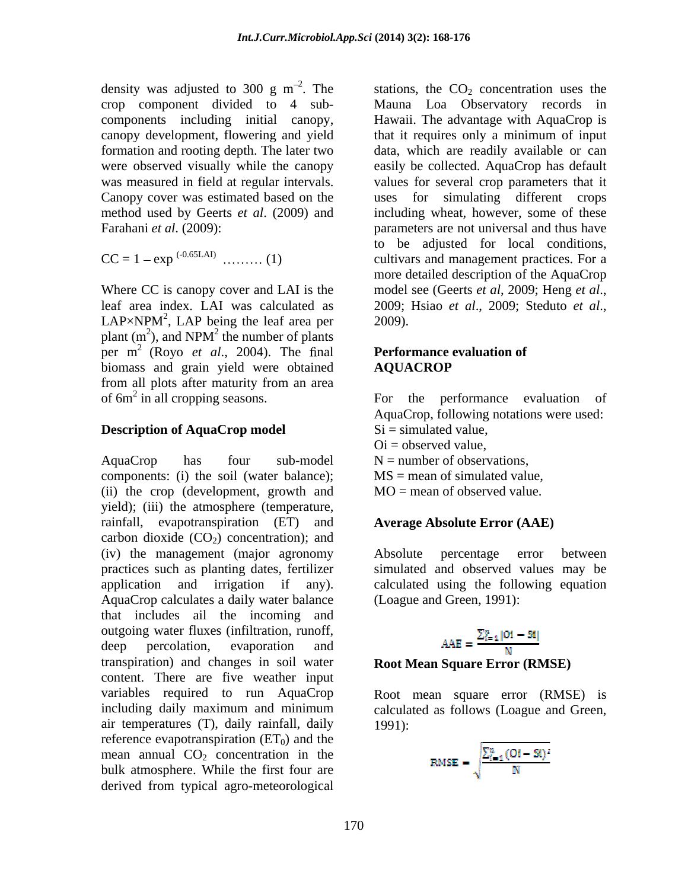density was adjusted to 300 g m<sup>-2</sup>. The stations, the  $CO_2$  concentration uses the

Where CC is canopy cover and LAI is the model see (Geerts *et al.*, 2009; Heng *et al.*, leaf area index. LAI was calculated as <br>2009; Hsiao et al., 2009; Steduto et al.,  $LAP \times NPM^2$ ,  $LAP$  being the leaf area per 2009). plant  $(m^2)$ , and NPM<sup>2</sup> the number of plants per  $m^2$  (Royo *et al.*, 2004). The final **Performance evaluation of** biomass and grain yield were obtained **AQUACROP** from all plots after maturity from an area

## **Description of AquaCrop model**

AquaCrop has four sub-model  $N =$  number of observations, components: (i) the soil (water balance); (ii) the crop (development, growth and yield); (iii) the atmosphere (temperature, rainfall, evapotranspiration (ET) and carbon dioxide  $(CO<sub>2</sub>)$  concentration); and (iv) the management (major agronomy absolute percentage error between practices such as planting dates, fertilizer simulated and observed values may be application and irrigation if any). calculated using the following equation AquaCrop calculates a daily water balance that includes ail the incoming and outgoing water fluxes (infiltration, runoff,<br>deep percolation evaporation and A deep percolation, evaporation and  $AAE = \frac{AAE}{N}$ transpiration) and changes in soil water content. There are five weather input variables required to run AquaCrop Root mean square error (RMSE) is including daily maximum and minimum calculated as follows (Loague and Green, air temperatures (T), daily rainfall, daily reference evapotranspiration  $(ET_0)$  and the mean annual  $CO<sub>2</sub>$  concentration in the bulk atmosphere. While the first four are derived from typical agro-meteorological

crop component divided to 4 sub- Mauna Loa Observatory records in components including initial canopy, Hawaii. The advantage with AquaCrop is canopy development, flowering and yield that it requires only a minimum of input formation and rooting depth. The later two data, which are readily available or can were observed visually while the canopy easily be collected. AquaCrop has default was measured in field at regular intervals. values for several crop parameters that it Canopy cover was estimated based on the uses for simulating different crops method used by Geerts *et al.* (2009) and including wheat, however, some of these Farahani *et al*. (2009): parameters are not universal and thus have  $CC = 1 - \exp^{(-0.65LAI)}$  .......... (1) cultivars and management practices. For a to be adjusted for local conditions, more detailed description of the AquaCrop model see (Geerts *et al*, 2009; Heng *et al*., 2009; Hsiao *et al*., 2009; Steduto *et al*., 2009).

### **Performance evaluation of AQUACROP**

of 6m<sup>2</sup> in all cropping seasons. For the performance evaluation of AquaCrop, following notations were used:  $Si = simulated value$ .  $Oi =$  observed value.  $MS =$  mean of simulated value,  $MO =$  mean of observed value.

## **Average Absolute Error (AAE)**

Absolute percentage error between (Loague and Green, 1991):

$$
AE = \frac{\sum_{i=1}^{n} |Oi - St|}{N}
$$

### **Root Mean Square Error (RMSE)**

1991):

$$
\text{RMSE} = \sqrt{\frac{\sum_{i=1}^{n} (0i - \text{Si})^2}{N}}
$$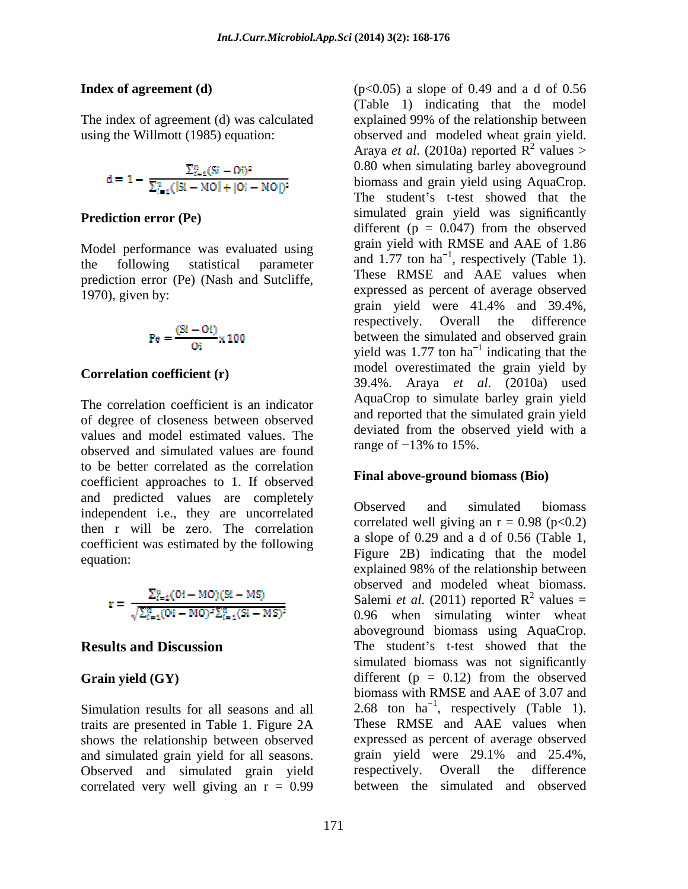The index of agreement (d) was calculated explained 99% of the relationship between

$$
d=1-\frac{\Sigma_{i=4}^{n}(Si+Oi)^2}{\Sigma_{i=4}^{n}([Si+MO]+[O]-MO])^2}
$$

Model performance was evaluated using prediction error (Pe) (Nash and Sutcliffe,

$$
Pe = \frac{(Si - Oi)}{Oi} \times 100
$$

## **Correlation coefficient (r)**

The correlation coefficient is an indicator of degree of closeness between observed values and model estimated values. The observed and simulated values are found to be better correlated as the correlation coefficient approaches to 1. If observed and predicted values are completely<br>
Cheerved and simulated biomass independent i.e., they are uncorrelated then r will be zero. The correlation<br>a slope of 0.29 and a d of 0.56 (Table 1,<br>a slope of 0.29 and a d of 0.56 (Table 1, coefficient was estimated by the following<br>  $\begin{array}{c}\n\text{a slope of 0.29 and a d of 0.56 (Table 1,)} \\
\text{Figure 2B) indicating that the model}\n\end{array}$ 

$$
\mathbf{r} = \frac{\sum_{i=1}^{n} (0i - MO)(Si - MS)}{\sqrt{\sum_{i=1}^{n} (0i - MO)^2 \sum_{i=1}^{n} (Si - MS)^2}}
$$

traits are presented in Table 1. Figure 2A These RMSE and AAE values when shows the relationship between observed<br>and simulated grain vield for all seasons. grain vield were 29.1% and 25.4%, and simulated grain yield for all seasons. grain yield were 29.1% a<br>Observed and simulated grain yield respectively. Overall the Observed and simulated grain yield respectively. Overall the difference correlated very well giving an  $r = 0.99$ 

**Index of agreement (d)**  $(p<0.05)$  a slope of 0.49 and a d of 0.56 using the Willmott (1985) equation: observed and modeled wheat grain yield. **Prediction error (Pe)** simulated grain yield was significantly the following statistical parameter  $\frac{d}{dx}$  and  $1.77$  ton na respectively (Table 1). 1970), given by: expressed as percent of average observed (Table 1) indicating that the model explained 99% of the relationship between Araya *et al.* (2010a) reported  $\overline{R}^2$  values >  $\frac{2}{2}$  volves  $\sim$ values > 0.80 when simulating barley aboveground biomass and grain yield using AquaCrop. The student's t-test showed that the different ( $p = 0.047$ ) from the observed grain yield with RMSE and AAE of 1.86 and  $1.77$  ton ha<sup>-1</sup>, respectively (Table 1). These RMSE and AAE values when grain yield were 41.4% and 39.4%, respectively. Overall the difference between the simulated and observed grain yield was 1.77 ton  $ha^{-1}$  indicating that the  $<sup>1</sup>$  indicating that the</sup> indicating that the model overestimated the grain yield by 39.4%. Araya *et al*. (2010a) used AquaCrop to simulate barley grain yield and reported that the simulated grain yield deviated from the observed yield with a range of  $-13\%$  to 15%.

## **Final above-ground biomass (Bio)**

equation: Eiguie 2D indicating that the model **Results and Discussion** The student's t-test showed that the Grain yield (GY) different (p = 0.12) from the observed Simulation results for all seasons and all  $2.68$  ton  $ha^{-1}$ , respectively (Table 1). Observed and simulated biomass correlated well giving an  $r = 0.98$  (p<0.2) <sup>a</sup> slope of 0.29 and <sup>a</sup> <sup>d</sup> of 0.56 (Table 1, Figure 2B) indicating that the model explained 98% of the relationship between observed and modeled wheat biomass. Salemi *et al.* (2011) reported  $R^2$  values =  $^2$  volume  $^$ values = 0.96 when simulating winter wheat aboveground biomass using AquaCrop. simulated biomass was not significantly biomass with RMSE and AAE of 3.07 and expressed as percent of average observed grain yield were 29.1% and 25.4%, respectively. Overall the difference between the simulated and observed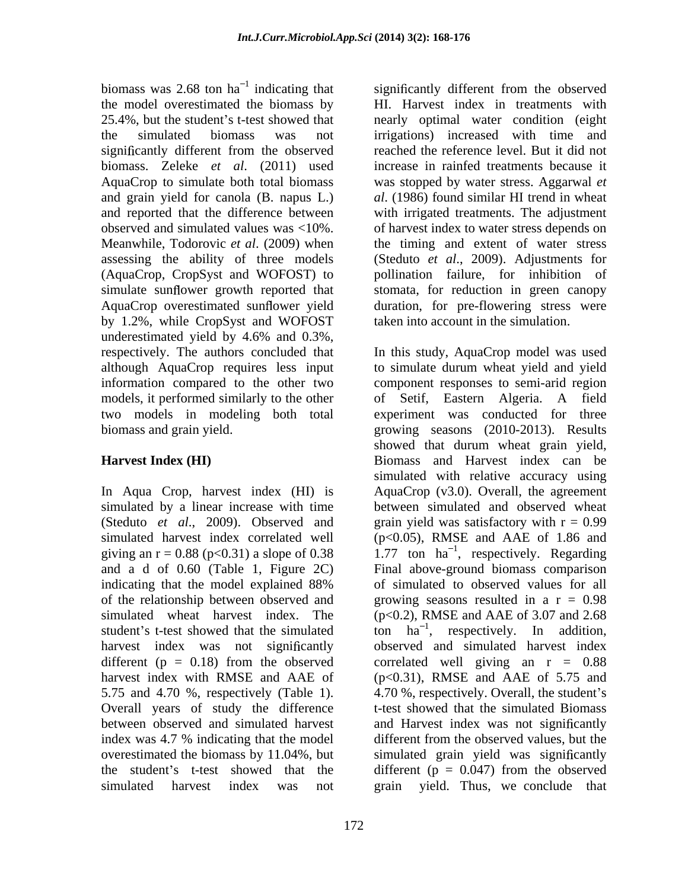biomass was 2.68 ton  $ha^{-1}$  indicating that significantly different from the observed biomass. Zeleke *et al*. (2011) used observed and simulated values was <10%. simulate sunflower growth reported that by 1.2%, while CropSyst and WOFOST underestimated yield by 4.6% and 0.3%,

giving an  $r = 0.88$  (p<0.31) a slope of 0.38 and a d of 0.60 (Table 1, Figure 2C) harvest index was not significantly 5.75 and 4.70 %, respectively (Table 1). Overall years of study the difference index was 4.7 % indicating that the model overestimated the biomass by 11.04%, but simulated harvest index was not grain yield. Thus, we conclude that

<sup>1</sup> indicating that significantly different from the observed the model overestimated the biomass by HI. Harvest index in treatments with 25.4%, but the student's t-test showed that nearly optimal water condition (eight the simulated biomass was not irrigations) increased with time and AquaCrop to simulate both total biomass was stopped by water stress. Aggarwal *et*  and grain yield for canola (B. napus L.) *al*. (1986) found similar HI trend in wheat and reported that the difference between with irrigated treatments. The adjustment Meanwhile, Todorovic *et al*. (2009) when the timing and extent of water stress assessing the ability of three models (Steduto *et al*., 2009). Adjustments for (AquaCrop, CropSyst and WOFOST) to pollination failure, for inhibition of AquaCrop overestimated sunflower yield duration, for pre-flowering stress were significantly different from the observed reached the reference level. But it did not increase in rainfed treatments because it of harvest index to water stress depends on stomata, for reduction in green canopy taken into account in the simulation.

respectively. The authors concluded that In this study, AquaCrop model was used although AquaCrop requires less input to simulate durum wheat yield and yield information compared to the other two component responses to semi-arid region models, it performed similarly to the other of Setif, Eastern Algeria. A field two models in modeling both total experiment was conducted for three biomass and grain yield. growing seasons (2010-2013). Results **Harvest Index (HI)** Biomass and Harvest index can be In Aqua Crop, harvest index (HI) is AquaCrop (v3.0). Overall, the agreement simulated by a linear increase with time between simulated and observed wheat (Steduto *et al.*, 2009). Observed and grain yield was satisfactory with  $r = 0.99$ simulated harvest index correlated well (p<0.05), RMSE and AAE of 1.86 and indicating that the model explained 88% of the relationship between observed and growing seasons resulted in a r = 0.98 simulated wheat harvest index. The (p<0.2), RMSE and AAE of 3.07 and 2.68 student's t-test showed that the simulated to  $ha^{-1}$ , respectively. In addition, different ( $p = 0.18$ ) from the observed correlated well giving an  $r = 0.88$ harvest index with RMSE and AAE of (p<0.31), RMSE and AAE of 5.75 and between observed and simulated harvest and Harvest index was not significantly the student's t-test showed that the different  $(p = 0.047)$  from the observed showed that durum wheat grain yield, simulated with relative accuracy using 1.77 ton  $ha^{-1}$ , respectively. Regarding Final above-ground biomass comparison of simulated to observed values for all observed and simulated harvest index 4.70 %, respectively. Overall, the student's t-test showed that the simulated Biomass different from the observed values, but the simulated grain yield was significantly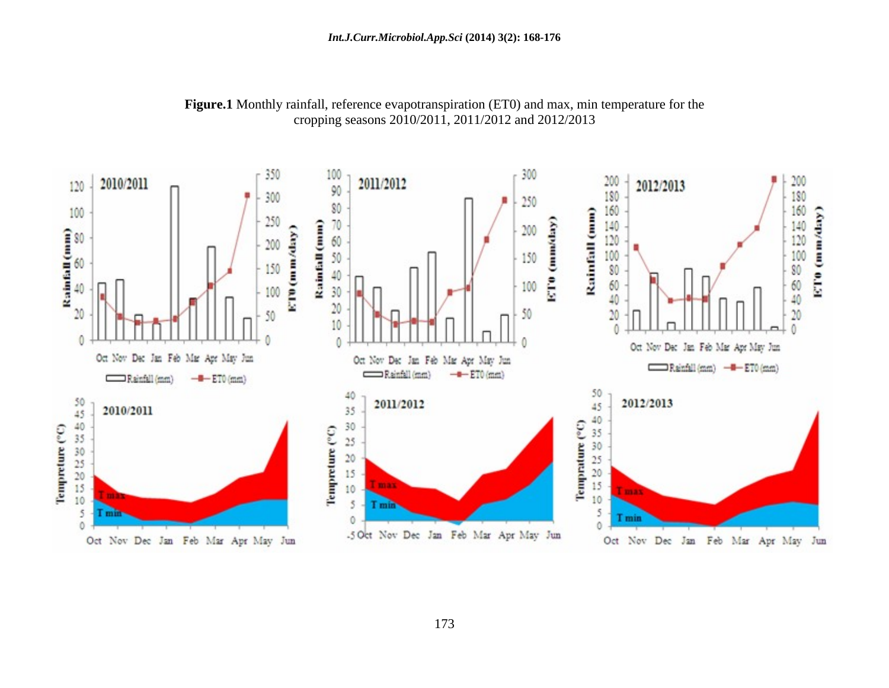

**Figure.1** Monthly rainfall, reference evapotranspiration (ET0) and max, min temperature for the cropping seasons 2010/2011, 2011/2012 and 2012/2013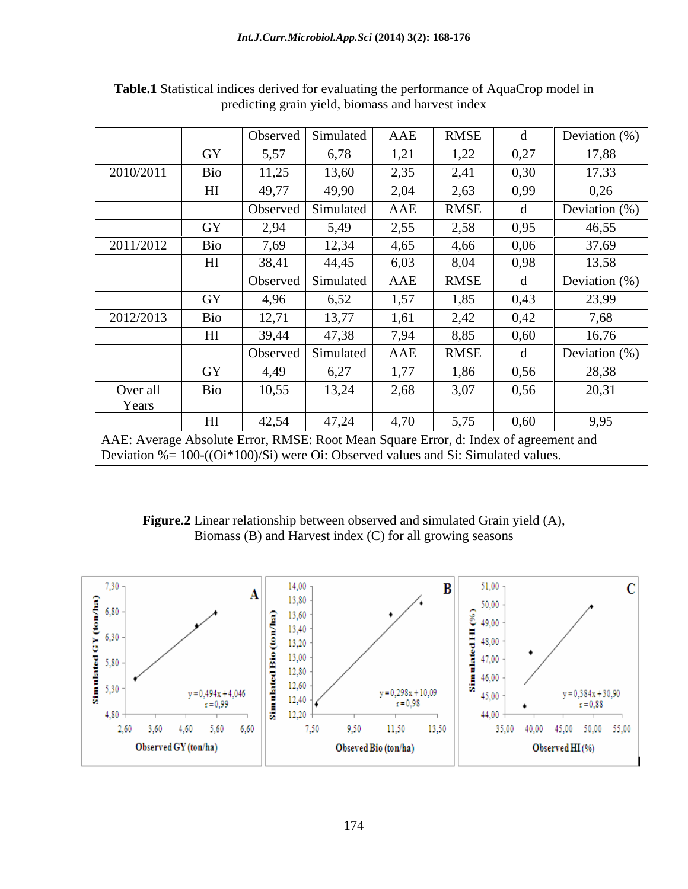|                                                                                                                                                                                |                | Observed | Simulated | AAE  | <b>RMSE</b> |      | Deviation $(\%)$ |
|--------------------------------------------------------------------------------------------------------------------------------------------------------------------------------|----------------|----------|-----------|------|-------------|------|------------------|
|                                                                                                                                                                                | <b>GY</b>      | 5,57     | 6,78      | 1, 4 | 1,22        | 0,27 | 17,88            |
| 2010/2011                                                                                                                                                                      | Bio            | 11,25    | 13,60     | 2,35 | 2,41        | 0,30 | 17,33            |
|                                                                                                                                                                                | H <sub>I</sub> | 49,77    | 49,90     | 2,04 | 2,63        | 0,99 | 0,26             |
|                                                                                                                                                                                |                | Observed | Simulated | AAE  | <b>RMSE</b> |      | Deviation $(\%)$ |
|                                                                                                                                                                                | GY             | 2,94     | 5,49      | 2,55 | 2,58        | 0,95 | 46,55            |
| 2011/2012                                                                                                                                                                      | Bio            | 7,69     | 12,34     | 4,65 | 4,66        | 0,06 | 37,69            |
|                                                                                                                                                                                |                | 38,41    | 44,45     | 6,03 | 8,04        | 0,98 | 13,58            |
|                                                                                                                                                                                |                | Observed | Simulated | AAE  | <b>RMSE</b> |      | Deviation $(\%)$ |
|                                                                                                                                                                                | GY             | 4,96     | 6,52      | 1,57 | 1,85        | 0,43 | 23,99            |
| 2012/2013                                                                                                                                                                      | Bio            | 12,71    | 13,77     | 1,61 | 2,42        | 0,42 | 7,68             |
|                                                                                                                                                                                | H <sub>I</sub> | 39,44    | 47,38     | 7,94 | 8,85        | 0,60 | 16,76            |
|                                                                                                                                                                                |                | Observed | Simulated | AAE  | <b>RMSE</b> |      | Deviation $(\%)$ |
|                                                                                                                                                                                | GY             | 4,49     | 6,27      | 1,77 | 1,86        | 0,56 | 28,38            |
| Over all                                                                                                                                                                       | Bio            | 10,55    | 13,24     | 2,68 | 3,07        | 0,56 | 20,31            |
| Years                                                                                                                                                                          |                |          |           |      |             |      |                  |
|                                                                                                                                                                                | H <sub>I</sub> | 42,54    | 47,24     | 4,70 | 5,75        | 0,60 | 9,95             |
| AAE: Average Absolute Error, RMSE: Root Mean Square Error, d: Index of agreement and<br>Deviation $% = 100 - ((Qi*100)/Si)$ were Oi: Observed values and Si: Simulated values. |                |          |           |      |             |      |                  |

**Table.1** Statistical indices derived for evaluating the performance of AquaCrop model in predicting grain yield, biomass and harvest index

**Figure.2** Linear relationship between observed and simulated Grain yield (A), Biomass (B) and Harvest index (C) for all growing seasons

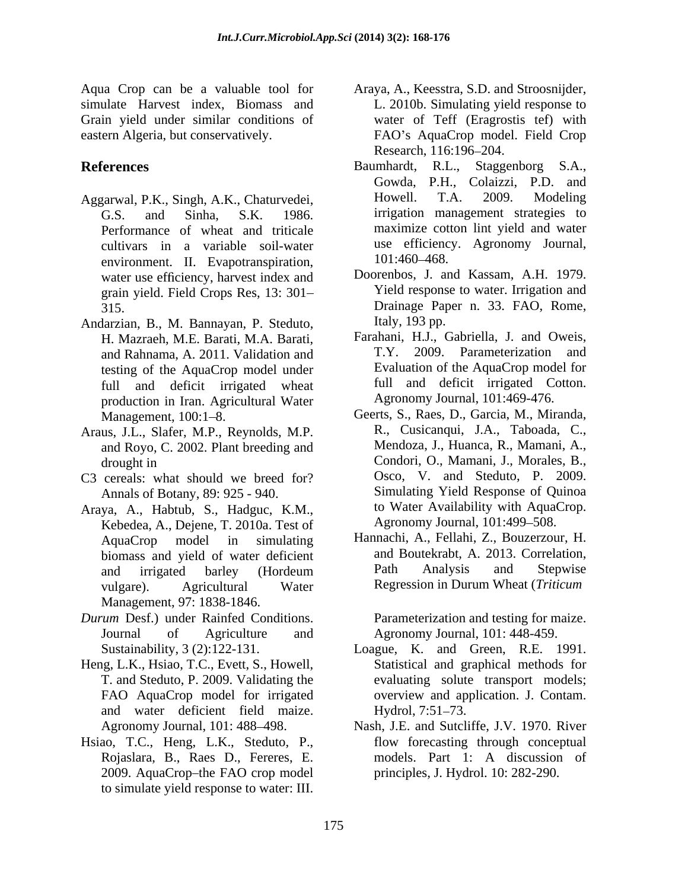Grain yield under similar conditions of

- Performance of wheat and triticale cultivars in a variable soil-water use efficienc<br>environment II Evanotranspiration 101:460–468. environment. II. Evapotranspiration, water use efficiency, harvest index and grain yield. Field Crops Res, 13: 301
- Andarzian, B., M. Bannayan, P. Steduto, and Rahnama, A. 2011. Validation and testing of the AquaCrop model under full and deficit irrigated wheat production in Iran. Agricultural Water
- Araus, J.L., Slafer, M.P., Reynolds, M.P. and Royo, C. 2002. Plant breeding and
- C3 cereals: what should we breed for? Annals of Botany, 89: 925 - 940.
- Araya, A., Habtub, S., Hadguc, K.M., Kebedea, A., Dejene, T. 2010a. Test of Management, 97: 1838-1846.
- *Durum* Desf.) under Rainfed Conditions. Journal of Agriculture and Agronomy Journal, 101: 448-459.
- Heng, L.K., Hsiao, T.C., Evett, S., Howell, and water deficient field maize.
- Hsiao, T.C., Heng, L.K., Steduto, P., Rojaslara, B., Raes D., Fereres, E. 2009. AquaCrop-the FAO crop model to simulate yield response to water: III.
- Aqua Crop can be a valuable tool for Araya, A., Keesstra, S.D. and Stroosnijder, simulate Harvest index, Biomass and L. 2010b. Simulating yield response to eastern Algeria, but conservatively. FAO s AquaCrop model. Field Crop water of Teff (Eragrostis tef) with Research, 116:196–204.
- References Baumhardt, R.L., Staggenborg S.A., Aggarwal, P.K., Singh, A.K., Chaturvedei, Howell. T.A. 2009. Modeling G.S. and Sinha, S.K. 1986. irrigation management strategies to Baumhardt, R.L., Staggenborg S.A., Gowda, P.H., Colaizzi, P.D. and Howell. T.A. 2009. Modeling maximize cotton lint yield and water use efficiency. Agronomy Journal, 101:460–468.
	- 315. Drainage Paper n. 33. FAO, Rome, Doorenbos, J. and Kassam, A.H. 1979. Yield response to water. Irrigation and Italy, 193 pp.
	- H. Mazraeh, M.E. Barati, M.A. Barati, Farahani, H.J., Gabriella, J. and Oweis, and Rahnama A 2011 Validation and T.Y. 2009. Parameterization and Farahani, H.J., Gabriella, J. and Oweis, T.Y. 2009. Parameterization and Evaluation of the AquaCrop model for full and deficit irrigated Cotton. Agronomy Journal, 101:469-476.
	- Management, 100:1–8. Geerts, S., Raes, D., Garcia, M., Miranda, drought in Condori, O., Mamani, J., Morales, B., R., Cusicanqui, J.A., Taboada, C., Mendoza, J., Huanca, R., Mamani, A., Osco, V. and Steduto, P. 2009. Simulating Yield Response of Quinoa to Water Availability with AquaCrop. Agronomy Journal, 101:499-508.
	- AquaCrop model in simulating Hannachi, A., Fellahi, Z., Bouzerzour, H. biomass and yield of water deficient and Boutekrabt, A. 2013. Correlation,<br>and irrigated barley (Hordeum Path Analysis and Stepwise and irrigated barley (Hordeum vulgare). Agricultural Water Regression in Durum Wheat (Triticum and Boutekrabt, A. 2013. Correlation, Path Analysis and Stepwise Regression in Durum Wheat (*Triticum*

Parameterization and testing for maize.

- Sustainability, 3 (2):122-131. Loague, K. and Green, R.E. 1991. T. and Steduto, P. 2009. Validating the evaluating solute transport models; FAO AquaCrop model for irrigated overview and application. J. Contam. Statistical and graphical methods for Hydrol, 7:51–73.
- Agronomy Journal, 101: 488–498. Nash, J.E. and Sutcliffe, J.V. 1970. River flow forecasting through conceptual models. Part 1: A discussion of principles, J. Hydrol. 10: 282-290.